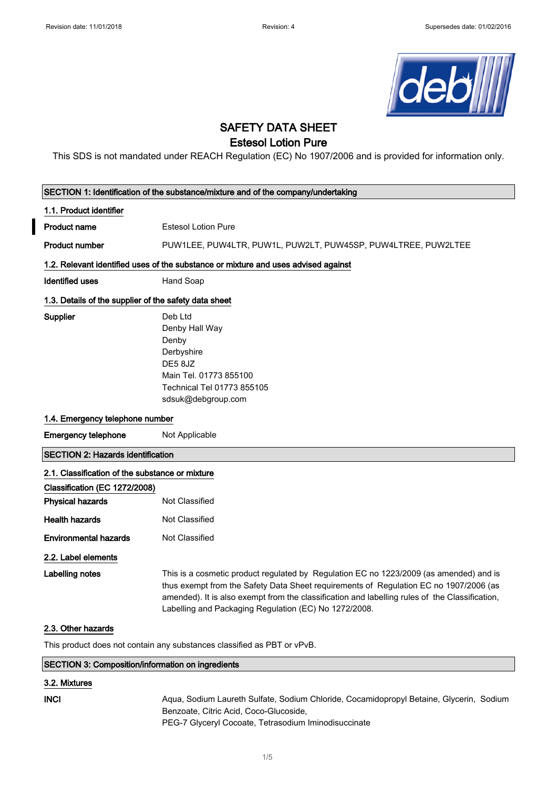

# SAFETY DATA SHEET

## Estesol Lotion Pure

This SDS is not mandated under REACH Regulation (EC) No 1907/2006 and is provided for information only.

| SECTION 1: Identification of the substance/mixture and of the company/undertaking  |                                                                                                                                                                                                                                                                                                                                            |  |
|------------------------------------------------------------------------------------|--------------------------------------------------------------------------------------------------------------------------------------------------------------------------------------------------------------------------------------------------------------------------------------------------------------------------------------------|--|
| 1.1. Product identifier                                                            |                                                                                                                                                                                                                                                                                                                                            |  |
| <b>Product name</b>                                                                | <b>Estesol Lotion Pure</b>                                                                                                                                                                                                                                                                                                                 |  |
| <b>Product number</b>                                                              | PUW1LEE, PUW4LTR, PUW1L, PUW2LT, PUW45SP, PUW4LTREE, PUW2LTEE                                                                                                                                                                                                                                                                              |  |
| 1.2. Relevant identified uses of the substance or mixture and uses advised against |                                                                                                                                                                                                                                                                                                                                            |  |
| <b>Identified uses</b>                                                             | Hand Soap                                                                                                                                                                                                                                                                                                                                  |  |
| 1.3. Details of the supplier of the safety data sheet                              |                                                                                                                                                                                                                                                                                                                                            |  |
| Supplier                                                                           | Deb Ltd<br>Denby Hall Way<br>Denby<br>Derbyshire<br>DE58JZ<br>Main Tel. 01773 855100<br>Technical Tel 01773 855105<br>sdsuk@debgroup.com                                                                                                                                                                                                   |  |
| 1.4. Emergency telephone number                                                    |                                                                                                                                                                                                                                                                                                                                            |  |
| <b>Emergency telephone</b>                                                         | Not Applicable                                                                                                                                                                                                                                                                                                                             |  |
| <b>SECTION 2: Hazards identification</b>                                           |                                                                                                                                                                                                                                                                                                                                            |  |
| 2.1. Classification of the substance or mixture                                    |                                                                                                                                                                                                                                                                                                                                            |  |
| Classification (EC 1272/2008)                                                      |                                                                                                                                                                                                                                                                                                                                            |  |
| <b>Physical hazards</b>                                                            | Not Classified                                                                                                                                                                                                                                                                                                                             |  |
| <b>Health hazards</b>                                                              | Not Classified                                                                                                                                                                                                                                                                                                                             |  |
| <b>Environmental hazards</b>                                                       | Not Classified                                                                                                                                                                                                                                                                                                                             |  |
| 2.2. Label elements                                                                |                                                                                                                                                                                                                                                                                                                                            |  |
| Labelling notes                                                                    | This is a cosmetic product regulated by Regulation EC no 1223/2009 (as amended) and is<br>thus exempt from the Safety Data Sheet requirements of Regulation EC no 1907/2006 (as<br>amended). It is also exempt from the classification and labelling rules of the Classification,<br>Labelling and Packaging Regulation (EC) No 1272/2008. |  |
| 2.3. Other hazards                                                                 |                                                                                                                                                                                                                                                                                                                                            |  |
| This product does not contain any substances classified as PBT or vPvB.            |                                                                                                                                                                                                                                                                                                                                            |  |
| <b>SECTION 3: Composition/information on ingredients</b>                           |                                                                                                                                                                                                                                                                                                                                            |  |
| 3.2. Mixtures                                                                      |                                                                                                                                                                                                                                                                                                                                            |  |
| <b>INCI</b>                                                                        | Aqua, Sodium Laureth Sulfate, Sodium Chloride, Cocamidopropyl Betaine, Glycerin, Sodium<br>Benzoate, Citric Acid, Coco-Glucoside,<br>PEG-7 Glyceryl Cocoate, Tetrasodium Iminodisuccinate                                                                                                                                                  |  |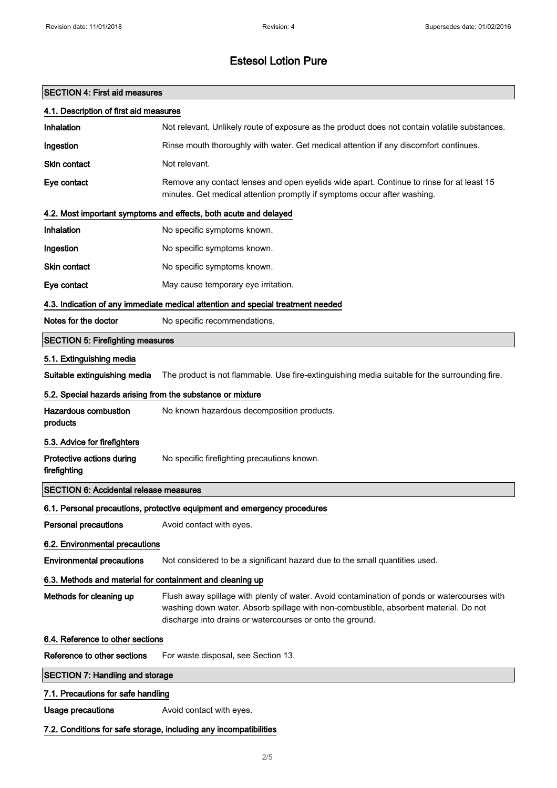# Estesol Lotion Pure

## SECTION 4: First aid measures

| 4.1. Description of first aid measures                            |                                                                                                                                                                                                                                                  |  |
|-------------------------------------------------------------------|--------------------------------------------------------------------------------------------------------------------------------------------------------------------------------------------------------------------------------------------------|--|
| Inhalation                                                        | Not relevant. Unlikely route of exposure as the product does not contain volatile substances.                                                                                                                                                    |  |
| Ingestion                                                         | Rinse mouth thoroughly with water. Get medical attention if any discomfort continues.                                                                                                                                                            |  |
| <b>Skin contact</b>                                               | Not relevant.                                                                                                                                                                                                                                    |  |
| Eye contact                                                       | Remove any contact lenses and open eyelids wide apart. Continue to rinse for at least 15<br>minutes. Get medical attention promptly if symptoms occur after washing.                                                                             |  |
|                                                                   | 4.2. Most important symptoms and effects, both acute and delayed                                                                                                                                                                                 |  |
| Inhalation                                                        | No specific symptoms known.                                                                                                                                                                                                                      |  |
| Ingestion                                                         | No specific symptoms known.                                                                                                                                                                                                                      |  |
| <b>Skin contact</b>                                               | No specific symptoms known.                                                                                                                                                                                                                      |  |
| Eye contact                                                       | May cause temporary eye irritation.                                                                                                                                                                                                              |  |
|                                                                   | 4.3. Indication of any immediate medical attention and special treatment needed                                                                                                                                                                  |  |
| Notes for the doctor                                              | No specific recommendations.                                                                                                                                                                                                                     |  |
| <b>SECTION 5: Firefighting measures</b>                           |                                                                                                                                                                                                                                                  |  |
| 5.1. Extinguishing media                                          |                                                                                                                                                                                                                                                  |  |
| Suitable extinguishing media                                      | The product is not flammable. Use fire-extinguishing media suitable for the surrounding fire.                                                                                                                                                    |  |
| 5.2. Special hazards arising from the substance or mixture        |                                                                                                                                                                                                                                                  |  |
| <b>Hazardous combustion</b><br>products                           | No known hazardous decomposition products.                                                                                                                                                                                                       |  |
| 5.3. Advice for firefighters                                      |                                                                                                                                                                                                                                                  |  |
| Protective actions during<br>firefighting                         | No specific firefighting precautions known.                                                                                                                                                                                                      |  |
| <b>SECTION 6: Accidental release measures</b>                     |                                                                                                                                                                                                                                                  |  |
|                                                                   | 6.1. Personal precautions, protective equipment and emergency procedures                                                                                                                                                                         |  |
| Personal precautions                                              | Avoid contact with eyes.                                                                                                                                                                                                                         |  |
| 6.2. Environmental precautions                                    |                                                                                                                                                                                                                                                  |  |
| <b>Environmental precautions</b>                                  | Not considered to be a significant hazard due to the small quantities used.                                                                                                                                                                      |  |
| 6.3. Methods and material for containment and cleaning up         |                                                                                                                                                                                                                                                  |  |
| Methods for cleaning up                                           | Flush away spillage with plenty of water. Avoid contamination of ponds or watercourses with<br>washing down water. Absorb spillage with non-combustible, absorbent material. Do not<br>discharge into drains or watercourses or onto the ground. |  |
| 6.4. Reference to other sections                                  |                                                                                                                                                                                                                                                  |  |
| Reference to other sections                                       | For waste disposal, see Section 13.                                                                                                                                                                                                              |  |
| <b>SECTION 7: Handling and storage</b>                            |                                                                                                                                                                                                                                                  |  |
| 7.1. Precautions for safe handling                                |                                                                                                                                                                                                                                                  |  |
| <b>Usage precautions</b>                                          | Avoid contact with eyes.                                                                                                                                                                                                                         |  |
| 7.2. Conditions for safe storage, including any incompatibilities |                                                                                                                                                                                                                                                  |  |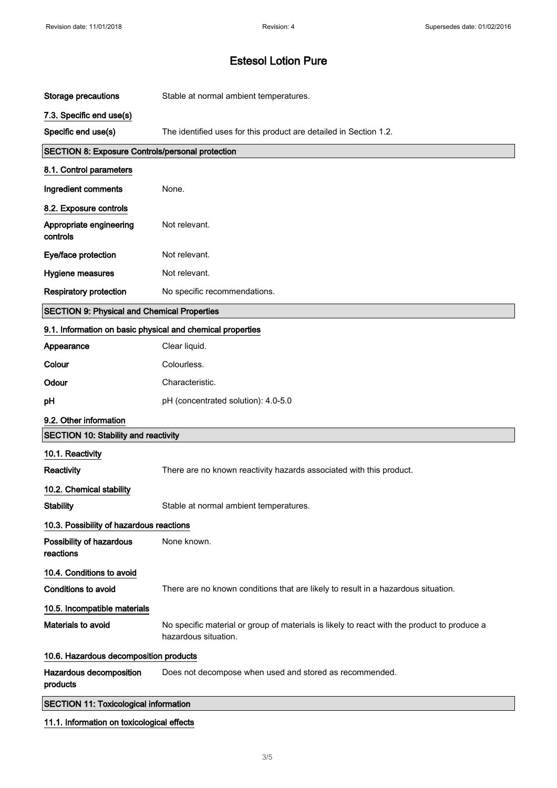$\overline{\phantom{a}}$ 

# Estesol Lotion Pure

| <b>Storage precautions</b>                                 | Stable at normal ambient temperatures.                                                                              |  |
|------------------------------------------------------------|---------------------------------------------------------------------------------------------------------------------|--|
| 7.3. Specific end use(s)                                   |                                                                                                                     |  |
| Specific end use(s)                                        | The identified uses for this product are detailed in Section 1.2.                                                   |  |
| <b>SECTION 8: Exposure Controls/personal protection</b>    |                                                                                                                     |  |
| 8.1. Control parameters                                    |                                                                                                                     |  |
| Ingredient comments                                        | None.                                                                                                               |  |
| 8.2. Exposure controls                                     |                                                                                                                     |  |
| Appropriate engineering<br>controls                        | Not relevant.                                                                                                       |  |
| Eye/face protection                                        | Not relevant.                                                                                                       |  |
| Hygiene measures                                           | Not relevant.                                                                                                       |  |
| <b>Respiratory protection</b>                              | No specific recommendations.                                                                                        |  |
| <b>SECTION 9: Physical and Chemical Properties</b>         |                                                                                                                     |  |
| 9.1. Information on basic physical and chemical properties |                                                                                                                     |  |
| Appearance                                                 | Clear liquid.                                                                                                       |  |
| Colour                                                     | Colourless.                                                                                                         |  |
| Odour                                                      | Characteristic.                                                                                                     |  |
| pH                                                         | pH (concentrated solution): 4.0-5.0                                                                                 |  |
| 9.2. Other information                                     |                                                                                                                     |  |
| <b>SECTION 10: Stability and reactivity</b>                |                                                                                                                     |  |
| 10.1. Reactivity                                           |                                                                                                                     |  |
| <b>Reactivity</b>                                          | There are no known reactivity hazards associated with this product.                                                 |  |
| 10.2. Chemical stability                                   |                                                                                                                     |  |
| <b>Stability</b>                                           | Stable at normal ambient temperatures.                                                                              |  |
| 10.3. Possibility of hazardous reactions                   |                                                                                                                     |  |
| Possibility of hazardous<br>reactions                      | None known.                                                                                                         |  |
| 10.4. Conditions to avoid                                  |                                                                                                                     |  |
| <b>Conditions to avoid</b>                                 | There are no known conditions that are likely to result in a hazardous situation.                                   |  |
| 10.5. Incompatible materials                               |                                                                                                                     |  |
| Materials to avoid                                         | No specific material or group of materials is likely to react with the product to produce a<br>hazardous situation. |  |
| 10.6. Hazardous decomposition products                     |                                                                                                                     |  |
| Hazardous decomposition<br>products                        | Does not decompose when used and stored as recommended.                                                             |  |
| <b>SECTION 11: Toxicological information</b>               |                                                                                                                     |  |
| 11.1. Information on toxicological effects                 |                                                                                                                     |  |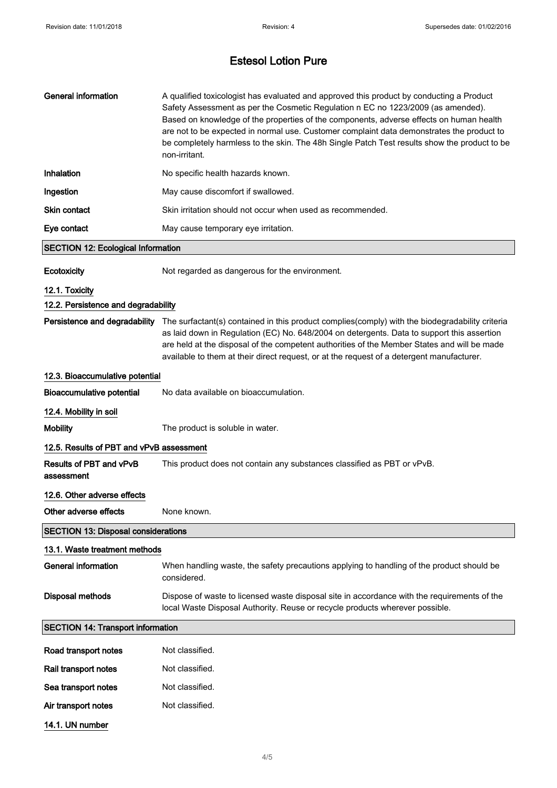# Estesol Lotion Pure

| <b>General information</b>                 | A qualified toxicologist has evaluated and approved this product by conducting a Product<br>Safety Assessment as per the Cosmetic Regulation n EC no 1223/2009 (as amended).<br>Based on knowledge of the properties of the components, adverse effects on human health<br>are not to be expected in normal use. Customer complaint data demonstrates the product to<br>be completely harmless to the skin. The 48h Single Patch Test results show the product to be<br>non-irritant. |  |
|--------------------------------------------|---------------------------------------------------------------------------------------------------------------------------------------------------------------------------------------------------------------------------------------------------------------------------------------------------------------------------------------------------------------------------------------------------------------------------------------------------------------------------------------|--|
| Inhalation                                 | No specific health hazards known.                                                                                                                                                                                                                                                                                                                                                                                                                                                     |  |
| Ingestion                                  | May cause discomfort if swallowed.                                                                                                                                                                                                                                                                                                                                                                                                                                                    |  |
| <b>Skin contact</b>                        | Skin irritation should not occur when used as recommended.                                                                                                                                                                                                                                                                                                                                                                                                                            |  |
| Eye contact                                | May cause temporary eye irritation.                                                                                                                                                                                                                                                                                                                                                                                                                                                   |  |
| <b>SECTION 12: Ecological Information</b>  |                                                                                                                                                                                                                                                                                                                                                                                                                                                                                       |  |
| <b>Ecotoxicity</b>                         | Not regarded as dangerous for the environment.                                                                                                                                                                                                                                                                                                                                                                                                                                        |  |
| 12.1. Toxicity                             |                                                                                                                                                                                                                                                                                                                                                                                                                                                                                       |  |
| 12.2. Persistence and degradability        |                                                                                                                                                                                                                                                                                                                                                                                                                                                                                       |  |
|                                            | Persistence and degradability The surfactant(s) contained in this product complies(comply) with the biodegradability criteria<br>as laid down in Regulation (EC) No. 648/2004 on detergents. Data to support this assertion<br>are held at the disposal of the competent authorities of the Member States and will be made<br>available to them at their direct request, or at the request of a detergent manufacturer.                                                               |  |
| 12.3. Bioaccumulative potential            |                                                                                                                                                                                                                                                                                                                                                                                                                                                                                       |  |
| <b>Bioaccumulative potential</b>           | No data available on bioaccumulation.                                                                                                                                                                                                                                                                                                                                                                                                                                                 |  |
| 12.4. Mobility in soil                     |                                                                                                                                                                                                                                                                                                                                                                                                                                                                                       |  |
| <b>Mobility</b>                            | The product is soluble in water.                                                                                                                                                                                                                                                                                                                                                                                                                                                      |  |
| 12.5. Results of PBT and vPvB assessment   |                                                                                                                                                                                                                                                                                                                                                                                                                                                                                       |  |
| Results of PBT and vPvB<br>assessment      | This product does not contain any substances classified as PBT or vPvB.                                                                                                                                                                                                                                                                                                                                                                                                               |  |
| 12.6. Other adverse effects                |                                                                                                                                                                                                                                                                                                                                                                                                                                                                                       |  |
| Other adverse effects                      | None known.                                                                                                                                                                                                                                                                                                                                                                                                                                                                           |  |
| <b>SECTION 13: Disposal considerations</b> |                                                                                                                                                                                                                                                                                                                                                                                                                                                                                       |  |
| 13.1. Waste treatment methods              |                                                                                                                                                                                                                                                                                                                                                                                                                                                                                       |  |
| <b>General information</b>                 | When handling waste, the safety precautions applying to handling of the product should be<br>considered.                                                                                                                                                                                                                                                                                                                                                                              |  |
| <b>Disposal methods</b>                    | Dispose of waste to licensed waste disposal site in accordance with the requirements of the<br>local Waste Disposal Authority. Reuse or recycle products wherever possible.                                                                                                                                                                                                                                                                                                           |  |
| <b>SECTION 14: Transport information</b>   |                                                                                                                                                                                                                                                                                                                                                                                                                                                                                       |  |
| Road transport notes                       | Not classified.                                                                                                                                                                                                                                                                                                                                                                                                                                                                       |  |
| Rail transport notes                       | Not classified.                                                                                                                                                                                                                                                                                                                                                                                                                                                                       |  |
| Sea transport notes                        | Not classified.                                                                                                                                                                                                                                                                                                                                                                                                                                                                       |  |
| Air transport notes                        | Not classified.                                                                                                                                                                                                                                                                                                                                                                                                                                                                       |  |
| 14.1. UN number                            |                                                                                                                                                                                                                                                                                                                                                                                                                                                                                       |  |